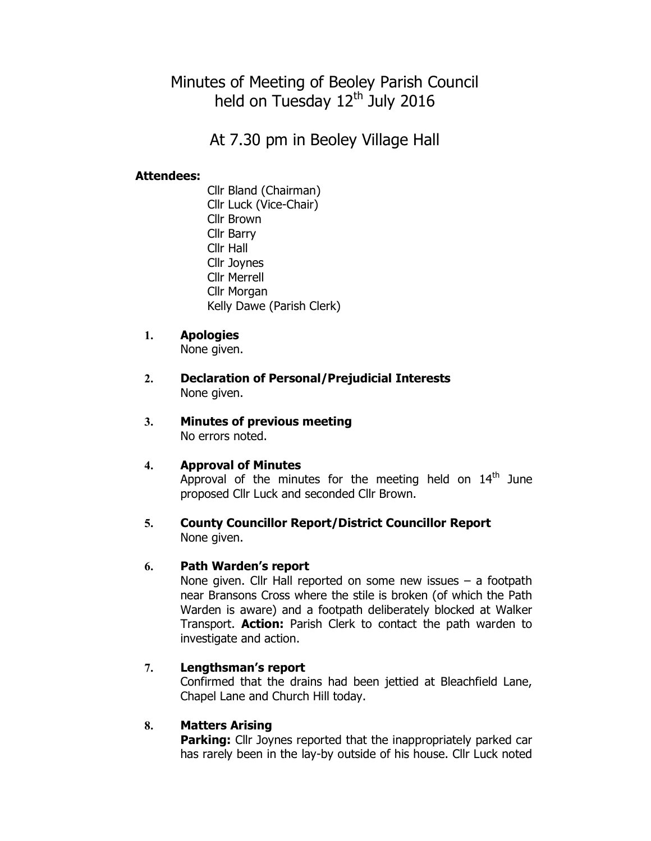# Minutes of Meeting of Beoley Parish Council held on Tuesday 12<sup>th</sup> July 2016

At 7.30 pm in Beoley Village Hall

# Attendees:

Cllr Bland (Chairman) Cllr Luck (Vice-Chair) Cllr Brown Cllr Barry Cllr Hall Cllr Joynes Cllr Merrell Cllr Morgan Kelly Dawe (Parish Clerk)

# 1. Apologies

None given.

- 2. Declaration of Personal/Prejudicial Interests None given.
- 3. Minutes of previous meeting No errors noted.

### 4. Approval of Minutes

Approval of the minutes for the meeting held on  $14<sup>th</sup>$  June proposed Cllr Luck and seconded Cllr Brown.

### 5. County Councillor Report/District Councillor Report None given.

### 6. Path Warden's report

None given. Cllr Hall reported on some new issues – a footpath near Bransons Cross where the stile is broken (of which the Path Warden is aware) and a footpath deliberately blocked at Walker Transport. **Action:** Parish Clerk to contact the path warden to investigate and action.

### 7. Lengthsman's report

Confirmed that the drains had been jettied at Bleachfield Lane, Chapel Lane and Church Hill today.

### 8. Matters Arising

**Parking:** Cllr Joynes reported that the inappropriately parked car has rarely been in the lay-by outside of his house. Cllr Luck noted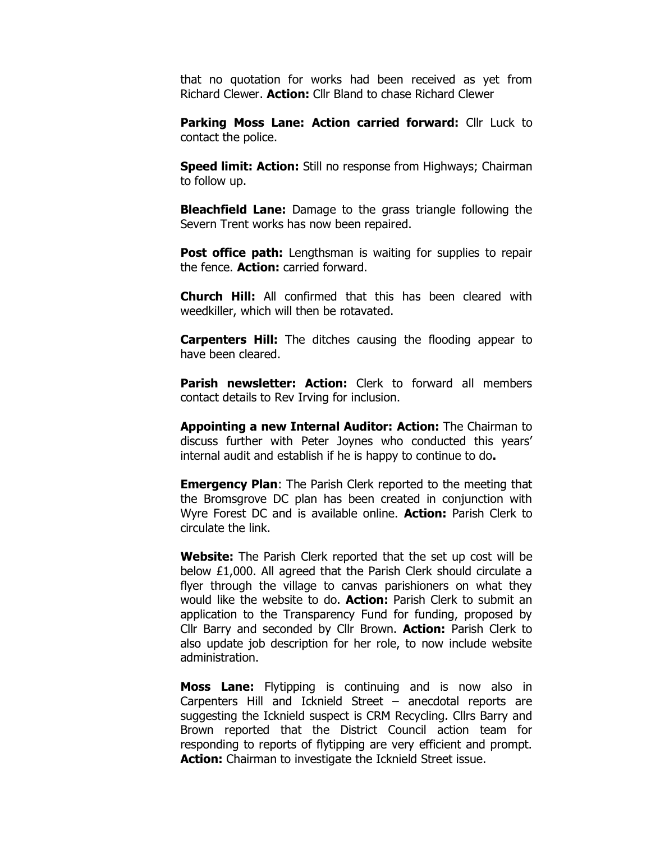that no quotation for works had been received as yet from Richard Clewer. **Action:** Cllr Bland to chase Richard Clewer

Parking Moss Lane: Action carried forward: Cllr Luck to contact the police.

**Speed limit: Action:** Still no response from Highways; Chairman to follow up.

**Bleachfield Lane:** Damage to the grass triangle following the Severn Trent works has now been repaired.

**Post office path:** Lengthsman is waiting for supplies to repair the fence. Action: carried forward.

**Church Hill:** All confirmed that this has been cleared with weedkiller, which will then be rotavated.

**Carpenters Hill:** The ditches causing the flooding appear to have been cleared.

**Parish newsletter: Action:** Clerk to forward all members contact details to Rev Irving for inclusion.

Appointing a new Internal Auditor: Action: The Chairman to discuss further with Peter Joynes who conducted this years' internal audit and establish if he is happy to continue to do.

**Emergency Plan:** The Parish Clerk reported to the meeting that the Bromsgrove DC plan has been created in conjunction with Wyre Forest DC and is available online. **Action:** Parish Clerk to circulate the link.

Website: The Parish Clerk reported that the set up cost will be below £1,000. All agreed that the Parish Clerk should circulate a flyer through the village to canvas parishioners on what they would like the website to do. Action: Parish Clerk to submit an application to the Transparency Fund for funding, proposed by Cllr Barry and seconded by Cllr Brown. **Action:** Parish Clerk to also update job description for her role, to now include website administration.

Moss Lane: Flytipping is continuing and is now also in Carpenters Hill and Icknield Street – anecdotal reports are suggesting the Icknield suspect is CRM Recycling. Cllrs Barry and Brown reported that the District Council action team for responding to reports of flytipping are very efficient and prompt. Action: Chairman to investigate the Icknield Street issue.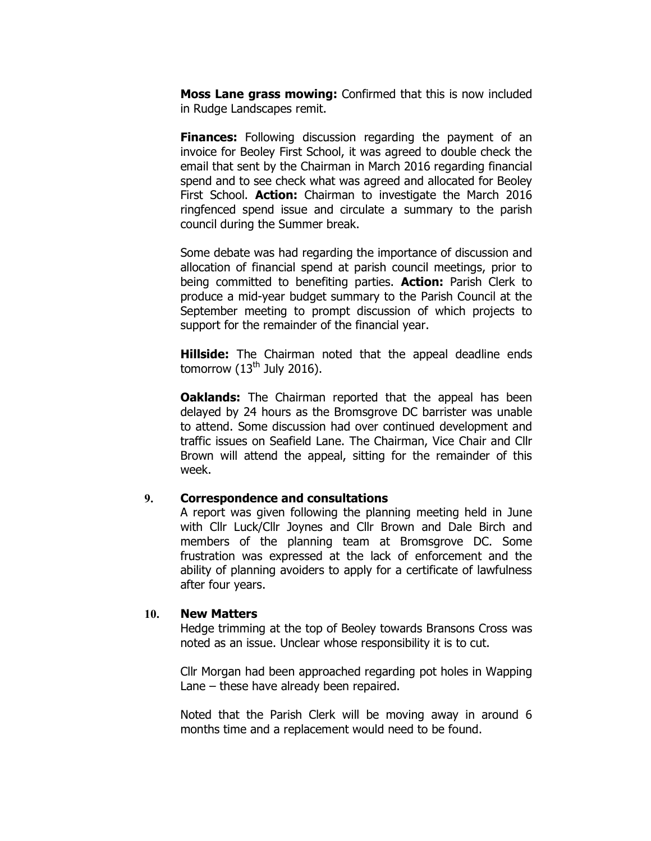Moss Lane grass mowing: Confirmed that this is now included in Rudge Landscapes remit.

Finances: Following discussion regarding the payment of an invoice for Beoley First School, it was agreed to double check the email that sent by the Chairman in March 2016 regarding financial spend and to see check what was agreed and allocated for Beoley First School. **Action:** Chairman to investigate the March 2016 ringfenced spend issue and circulate a summary to the parish council during the Summer break.

Some debate was had regarding the importance of discussion and allocation of financial spend at parish council meetings, prior to being committed to benefiting parties. **Action:** Parish Clerk to produce a mid-year budget summary to the Parish Council at the September meeting to prompt discussion of which projects to support for the remainder of the financial year.

**Hillside:** The Chairman noted that the appeal deadline ends tomorrow  $(13<sup>th</sup>$  July 2016).

**Oaklands:** The Chairman reported that the appeal has been delayed by 24 hours as the Bromsgrove DC barrister was unable to attend. Some discussion had over continued development and traffic issues on Seafield Lane. The Chairman, Vice Chair and Cllr Brown will attend the appeal, sitting for the remainder of this week.

#### 9. Correspondence and consultations

A report was given following the planning meeting held in June with Cllr Luck/Cllr Joynes and Cllr Brown and Dale Birch and members of the planning team at Bromsgrove DC. Some frustration was expressed at the lack of enforcement and the ability of planning avoiders to apply for a certificate of lawfulness after four years.

#### 10. New Matters

Hedge trimming at the top of Beoley towards Bransons Cross was noted as an issue. Unclear whose responsibility it is to cut.

Cllr Morgan had been approached regarding pot holes in Wapping Lane – these have already been repaired.

Noted that the Parish Clerk will be moving away in around 6 months time and a replacement would need to be found.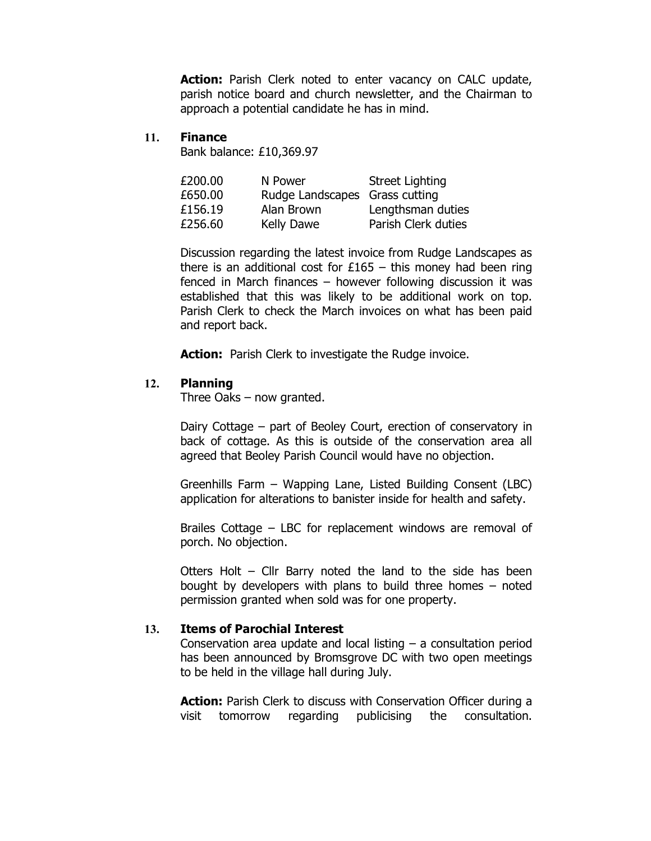Action: Parish Clerk noted to enter vacancy on CALC update, parish notice board and church newsletter, and the Chairman to approach a potential candidate he has in mind.

#### 11. Finance

Bank balance: £10,369.97

| £200.00 | N Power                        | Street Lighting     |
|---------|--------------------------------|---------------------|
| £650.00 | Rudge Landscapes Grass cutting |                     |
| £156.19 | Alan Brown                     | Lengthsman duties   |
| £256.60 | <b>Kelly Dawe</b>              | Parish Clerk duties |

Discussion regarding the latest invoice from Rudge Landscapes as there is an additional cost for  $£165 -$  this money had been ring fenced in March finances – however following discussion it was established that this was likely to be additional work on top. Parish Clerk to check the March invoices on what has been paid and report back.

Action: Parish Clerk to investigate the Rudge invoice.

#### 12. Planning

Three Oaks – now granted.

Dairy Cottage – part of Beoley Court, erection of conservatory in back of cottage. As this is outside of the conservation area all agreed that Beoley Parish Council would have no objection.

Greenhills Farm – Wapping Lane, Listed Building Consent (LBC) application for alterations to banister inside for health and safety.

Brailes Cottage – LBC for replacement windows are removal of porch. No objection.

Otters Holt – Cllr Barry noted the land to the side has been bought by developers with plans to build three homes – noted permission granted when sold was for one property.

#### 13. Items of Parochial Interest

Conservation area update and local listing – a consultation period has been announced by Bromsgrove DC with two open meetings to be held in the village hall during July.

Action: Parish Clerk to discuss with Conservation Officer during a visit tomorrow regarding publicising the consultation.